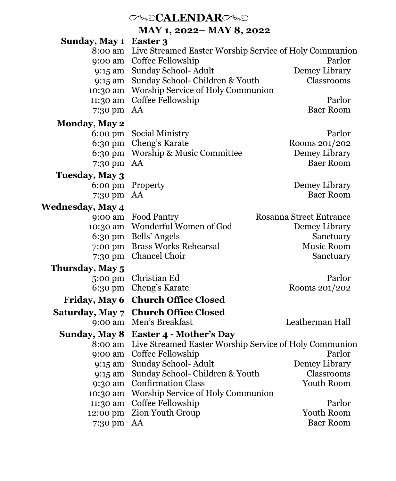# *CALENDARC*

**MAY 1, 2022– MAY 8, 2022**

| Sunday, May 1           | Easter 3                                               |                         |  |
|-------------------------|--------------------------------------------------------|-------------------------|--|
| 8:00 am                 | Live Streamed Easter Worship Service of Holy Communion |                         |  |
| 9:00 am                 | Coffee Fellowship                                      | Parlor                  |  |
| 9:15 am                 | Sunday School- Adult                                   | Demey Library           |  |
| 9:15 am                 | Sunday School- Children & Youth                        | Classrooms              |  |
| 10:30 am                | Worship Service of Holy Communion                      |                         |  |
| 11:30 am                | Coffee Fellowship                                      | Parlor                  |  |
| 7:30 pm                 | AA                                                     | <b>Baer Room</b>        |  |
| <b>Monday, May 2</b>    |                                                        |                         |  |
| $6:00 \text{ pm}$       | Social Ministry                                        | Parlor                  |  |
| 6:30 pm                 | Cheng's Karate                                         | Rooms 201/202           |  |
| 6:30 pm                 | Worship & Music Committee                              | Demey Library           |  |
| 7:30 pm                 | AA                                                     | <b>Baer Room</b>        |  |
| Tuesday, May 3          |                                                        |                         |  |
| $6:00 \text{ pm}$       | Property                                               | Demey Library           |  |
| 7:30 pm                 | AA                                                     | <b>Baer Room</b>        |  |
| <b>Wednesday, May 4</b> |                                                        |                         |  |
| 9:00 am                 | Food Pantry                                            | Rosanna Street Entrance |  |
| 10:30 am                | Wonderful Women of God                                 | Demey Library           |  |
| 6:30 pm                 | Bells' Angels                                          | Sanctuary               |  |
| 7:00 pm                 | <b>Brass Works Rehearsal</b>                           | Music Room              |  |
| 7:30 pm                 | Chancel Choir                                          | Sanctuary               |  |
| Thursday, May 5         |                                                        |                         |  |
| 5:00 pm                 | Christian Ed                                           | Parlor                  |  |
| 6:30 pm                 | Cheng's Karate                                         | Rooms 201/202           |  |
| Friday, May 6           | <b>Church Office Closed</b>                            |                         |  |
| Saturday, May 7         | <b>Church Office Closed</b>                            |                         |  |
| 9:00 am                 | Men's Breakfast                                        | Leatherman Hall         |  |
| <b>Sunday, May 8</b>    | Easter 4 - Mother's Day                                |                         |  |
| 8:00 am                 | Live Streamed Easter Worship Service of Holy Communion |                         |  |
| 9:00 am                 | Coffee Fellowship                                      | Parlor                  |  |
| 9:15 am                 | Sunday School- Adult                                   | Demey Library           |  |
| 9:15 am                 | Sunday School- Children & Youth                        | Classrooms              |  |
| 9:30 am                 | <b>Confirmation Class</b>                              | Youth Room              |  |
| 10:30 am                | Worship Service of Holy Communion                      |                         |  |
| 11:30 am                | Coffee Fellowship                                      | Parlor                  |  |
| 12:00 pm                | Zion Youth Group                                       | Youth Room              |  |
| 7:30 pm                 | AA                                                     | <b>Baer Room</b>        |  |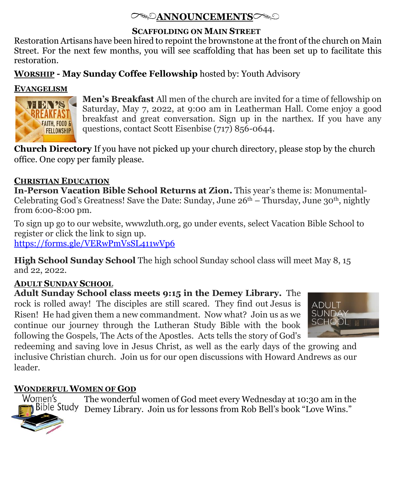## **ANNOUNCEMENTS**

#### **SCAFFOLDING ON MAIN STREET**

Restoration Artisans have been hired to repoint the brownstone at the front of the church on Main Street. For the next few months, you will see scaffolding that has been set up to facilitate this restoration.

### **WORSHIP - May Sunday Coffee Fellowship** hosted by: Youth Advisory

#### **EVANGELISM**



**Men's Breakfast** All men of the church are invited for a time of fellowship on Saturday, May 7, 2022, at 9:00 am in Leatherman Hall. Come enjoy a good breakfast and great conversation. Sign up in the narthex. If you have any questions, contact Scott Eisenbise (717) 856-0644.

**Church Directory** If you have not picked up your church directory, please stop by the church office. One copy per family please.

### **CHRISTIAN EDUCATION**

**In-Person Vacation Bible School Returns at Zion.** This year's theme is: Monumental-Celebrating God's Greatness! Save the Date: Sunday, June  $26<sup>th</sup> - Thursday$ , June  $30<sup>th</sup>$ , nightly from 6:00-8:00 pm.

To sign up go to our website, wwwzluth.org, go under events, select Vacation Bible School to register or click the link to sign up.

<https://forms.gle/VERwPmVsSL411wVp6>

**High School Sunday School** The high school Sunday school class will meet May 8, 15 and 22, 2022.

### **ADULT SUNDAY SCHOOL**

**Adult Sunday School class meets 9:15 in the Demey Library.** The rock is rolled away! The disciples are still scared. They find out Jesus is Risen! He had given them a new commandment. Now what? Join us as we continue our journey through the Lutheran Study Bible with the book following the Gospels, The Acts of the Apostles. Acts tells the story of God's



redeeming and saving love in Jesus Christ, as well as the early days of the growing and inclusive Christian church. Join us for our open discussions with Howard Andrews as our leader.

### **WONDERFUL WOMEN OF GOD**

The wonderful women of God meet every Wednesday at 10:30 am in the Bible Study Demey Library. Join us for lessons from Rob Bell's book "Love Wins."

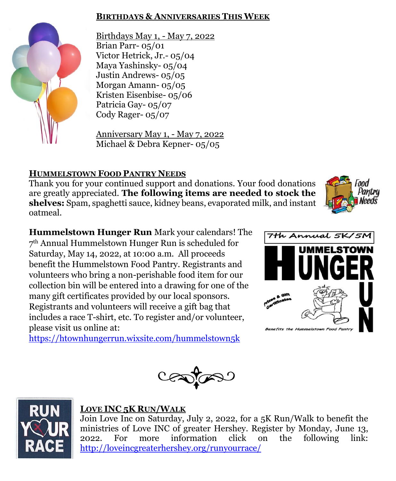#### **BIRTHDAYS & ANNIVERSARIES THIS WEEK**



Birthdays May 1, - May 7, 2022 Brian Parr- 05/01 Victor Hetrick, Jr.- 05/04 Maya Yashinsky- 05/04 Justin Andrews- 05/05 Morgan Amann- 05/05 Kristen Eisenbise- 05/06 Patricia Gay- 05/07 Cody Rager- 05/07

Anniversary May 1, - May 7, 2022 Michael & Debra Kepner- 05/05

## **HUMMELSTOWN FOOD PANTRY NEEDS**

Thank you for your continued support and donations. Your food donations are greatly appreciated. **The following items are needed to stock the shelves:** Spam, spaghetti sauce, kidney beans, evaporated milk, and instant oatmeal.

**Hummelstown Hunger Run** Mark your calendars! The 7 th Annual Hummelstown Hunger Run is scheduled for Saturday, May 14, 2022, at 10:00 a.m. All proceeds benefit the Hummelstown Food Pantry. Registrants and volunteers who bring a non-perishable food item for our collection bin will be entered into a drawing for one of the many gift certificates provided by our local sponsors. Registrants and volunteers will receive a gift bag that includes a race T-shirt, etc. To register and/or volunteer, please visit us online at:

<https://htownhungerrun.wixsite.com/hummelstown5k>









#### **LOVE INC 5K RUN/WALK**

Join Love Inc on Saturday, July 2, 2022, for a 5K Run/Walk to benefit the ministries of Love INC of greater Hershey. Register by Monday, June 13, 2022. For more information click on the following link: <http://loveincgreaterhershey.org/runyourrace/>